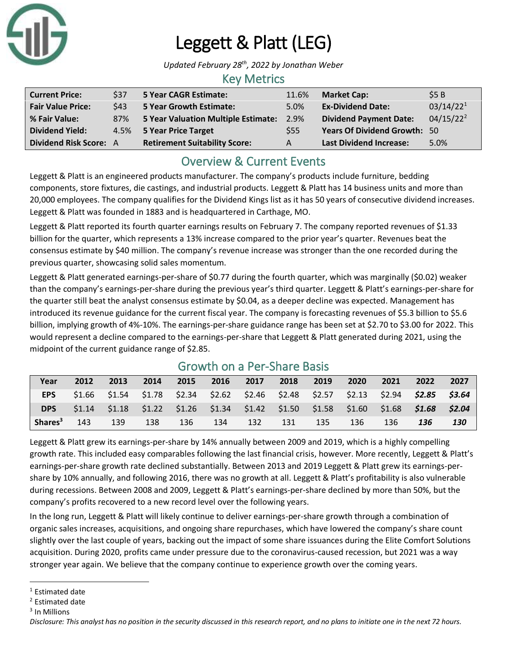

# Leggett & Platt (LEG)

*Updated February 28th, 2022 by Jonathan Weber*

#### Key Metrics

| <b>Current Price:</b>         | \$37 | 5 Year CAGR Estimate:                | 11.6% | <b>Market Cap:</b>                  | \$5B                  |
|-------------------------------|------|--------------------------------------|-------|-------------------------------------|-----------------------|
| <b>Fair Value Price:</b>      | \$43 | 5 Year Growth Estimate:              | 5.0%  | <b>Ex-Dividend Date:</b>            | 03/14/22 <sup>1</sup> |
| % Fair Value:                 | 87%  | 5 Year Valuation Multiple Estimate:  | 2.9%  | <b>Dividend Payment Date:</b>       | $04/15/22^2$          |
| <b>Dividend Yield:</b>        |      | 4.5% 5 Year Price Target             | \$55  | <b>Years Of Dividend Growth: 50</b> |                       |
| <b>Dividend Risk Score: A</b> |      | <b>Retirement Suitability Score:</b> | A     | <b>Last Dividend Increase:</b>      | 5.0%                  |

# Overview & Current Events

Leggett & Platt is an engineered products manufacturer. The company's products include furniture, bedding components, store fixtures, die castings, and industrial products. Leggett & Platt has 14 business units and more than 20,000 employees. The company qualifies for the Dividend Kings list as it has 50 years of consecutive dividend increases. Leggett & Platt was founded in 1883 and is headquartered in Carthage, MO.

Leggett & Platt reported its fourth quarter earnings results on February 7. The company reported revenues of \$1.33 billion for the quarter, which represents a 13% increase compared to the prior year's quarter. Revenues beat the consensus estimate by \$40 million. The company's revenue increase was stronger than the one recorded during the previous quarter, showcasing solid sales momentum.

Leggett & Platt generated earnings-per-share of \$0.77 during the fourth quarter, which was marginally (\$0.02) weaker than the company's earnings-per-share during the previous year's third quarter. Leggett & Platt's earnings-per-share for the quarter still beat the analyst consensus estimate by \$0.04, as a deeper decline was expected. Management has introduced its revenue guidance for the current fiscal year. The company is forecasting revenues of \$5.3 billion to \$5.6 billion, implying growth of 4%-10%. The earnings-per-share guidance range has been set at \$2.70 to \$3.00 for 2022. This would represent a decline compared to the earnings-per-share that Leggett & Platt generated during 2021, using the midpoint of the current guidance range of \$2.85.

| Year                | 2012 | 2013 | 2014 | 2015 | 2016 | 2017                                                                                            | 2018   | 2019 | 2020 | 2021 | 2022 | 2027   |
|---------------------|------|------|------|------|------|-------------------------------------------------------------------------------------------------|--------|------|------|------|------|--------|
| <b>EPS</b>          |      |      |      |      |      | $$1.66$ $$1.54$ $$1.78$ $$2.34$ $$2.62$ $$2.46$ $$2.48$ $$2.57$ $$2.13$ $$2.94$ $$2.85$ $$3.64$ |        |      |      |      |      |        |
| DPS                 |      |      |      |      |      | $$1.14$ $$1.18$ $$1.22$ $$1.26$ $$1.34$ $$1.42$ $$1.50$ $$1.58$ $$1.60$ $$1.68$ $$1.68$         |        |      |      |      |      | \$2.04 |
| Shares <sup>3</sup> | 143  | 139  | 138  | 136  | 134  | - 132                                                                                           | $-131$ | 135  | 136  | 136  | 136  | 130    |

### Growth on a Per-Share Basis

Leggett & Platt grew its earnings-per-share by 14% annually between 2009 and 2019, which is a highly compelling growth rate. This included easy comparables following the last financial crisis, however. More recently, Leggett & Platt's earnings-per-share growth rate declined substantially. Between 2013 and 2019 Leggett & Platt grew its earnings-pershare by 10% annually, and following 2016, there was no growth at all. Leggett & Platt's profitability is also vulnerable during recessions. Between 2008 and 2009, Leggett & Platt's earnings-per-share declined by more than 50%, but the company's profits recovered to a new record level over the following years.

In the long run, Leggett & Platt will likely continue to deliver earnings-per-share growth through a combination of organic sales increases, acquisitions, and ongoing share repurchases, which have lowered the company's share count slightly over the last couple of years, backing out the impact of some share issuances during the Elite Comfort Solutions acquisition. During 2020, profits came under pressure due to the coronavirus-caused recession, but 2021 was a way stronger year again. We believe that the company continue to experience growth over the coming years.

<sup>&</sup>lt;sup>1</sup> Estimated date

<sup>2</sup> Estimated date

<sup>3</sup> In Millions

*Disclosure: This analyst has no position in the security discussed in this research report, and no plans to initiate one in the next 72 hours.*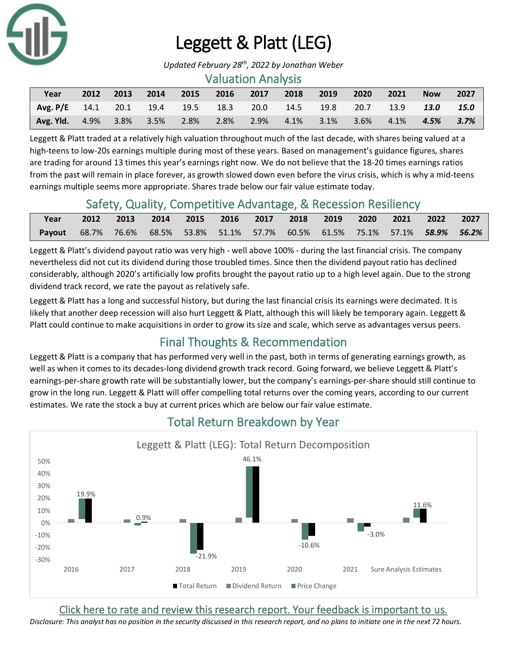

# Leggett & Platt (LEG)

*Updated February 28th, 2022 by Jonathan Weber*

#### Valuation Analysis

| Year                                                        | 2012 | 2013 | 2014 | $\sim$ 2015    | 2016 | 2017 | 2018 | 2019    | 2020    | 2021               | <b>Now</b>      | 2027 |
|-------------------------------------------------------------|------|------|------|----------------|------|------|------|---------|---------|--------------------|-----------------|------|
| $\sqrt{7}$ Avg. P/E 14.1 20.1 19.4 19.5 18.3 20.0 14.5 19.8 |      |      |      |                |      |      |      |         | 20.7    | $\sim$ 13.9 $\sim$ | 13.0            | 15.0 |
| Avg. Yld. $4.9\%$                                           |      |      |      | 3.8% 3.5% 2.8% | 2.8% | 2.9% | 4.1% | $3.1\%$ | $3.6\%$ | $-4.1\%$           | $4.5\%$ $3.7\%$ |      |

Leggett & Platt traded at a relatively high valuation throughout much of the last decade, with shares being valued at a high-teens to low-20s earnings multiple during most of these years. Based on management's guidance figures, shares are trading for around 13 times this year's earnings right now. We do not believe that the 18-20 times earnings ratios from the past will remain in place forever, as growth slowed down even before the virus crisis, which is why a mid-teens earnings multiple seems more appropriate. Shares trade below our fair value estimate today.

## Safety, Quality, Competitive Advantage, & Recession Resiliency

| Year                                                                                  | 2012 | 2013 2014 2015 2016 2017 2018 2019 2020 2021 2022 2027 |  |  |  |  |  |
|---------------------------------------------------------------------------------------|------|--------------------------------------------------------|--|--|--|--|--|
| <b>Payout</b> 68.7% 76.6% 68.5% 53.8% 51.1% 57.7% 60.5% 61.5% 75.1% 57.1% 58.9% 56.2% |      |                                                        |  |  |  |  |  |

Leggett & Platt's dividend payout ratio was very high - well above 100% - during the last financial crisis. The company nevertheless did not cut its dividend during those troubled times. Since then the dividend payout ratio has declined considerably, although 2020's artificially low profits brought the payout ratio up to a high level again. Due to the strong dividend track record, we rate the payout as relatively safe.

Leggett & Platt has a long and successful history, but during the last financial crisis its earnings were decimated. It is likely that another deep recession will also hurt Leggett & Platt, although this will likely be temporary again. Leggett & Platt could continue to make acquisitions in order to grow its size and scale, which serve as advantages versus peers.

# Final Thoughts & Recommendation

Leggett & Platt is a company that has performed very well in the past, both in terms of generating earnings growth, as well as when it comes to its decades-long dividend growth track record. Going forward, we believe Leggett & Platt's earnings-per-share growth rate will be substantially lower, but the company's earnings-per-share should still continue to grow in the long run. Leggett & Platt will offer compelling total returns over the coming years, according to our current estimates. We rate the stock a buy at current prices which are below our fair value estimate.



# Total Return Breakdown by Year

[Click here to rate and review this research report. Your feedback is important to us.](https://suredividend.typeform.com/to/ScKeFu)

*Disclosure: This analyst has no position in the security discussed in this research report, and no plans to initiate one in the next 72 hours.*